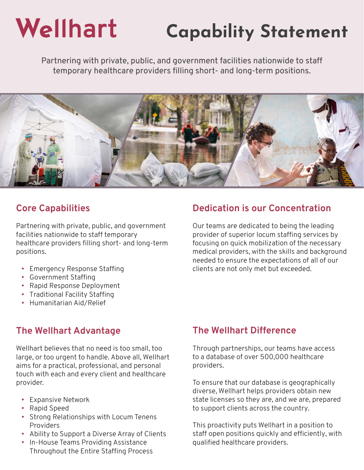### Wellhart Capability Statement

Partnering with private, public, and government facilities nationwide to staff temporary healthcare providers filling short- and long-term positions.



### **Core Capabilities**

Partnering with private, public, and government facilities nationwide to staff temporary healthcare providers filling short- and long-term positions.

- Emergency Response Staffing
- Government Staffing
- Rapid Response Deployment
- Traditional Facility Staffing
- Humanitarian Aid/Relief

### **Dedication is our Concentration**

Our teams are dedicated to being the leading provider of superior locum staffing services by focusing on quick mobilization of the necessary medical providers, with the skills and background needed to ensure the expectations of all of our clients are not only met but exceeded.

#### **The Wellhart Advantage**

Wellhart believes that no need is too small, too large, or too urgent to handle. Above all, Wellhart aims for a practical, professional, and personal touch with each and every client and healthcare provider.

- Expansive Network
- Rapid Speed
- Strong Relationships with Locum Tenens Providers
- Ability to Support a Diverse Array of Clients
- In-House Teams Providing Assistance Throughout the Entire Staffing Process

### **The Wellhart Difference**

Through partnerships, our teams have access to a database of over 500,000 healthcare providers.

To ensure that our database is geographically diverse, Wellhart helps providers obtain new state licenses so they are, and we are, prepared to support clients across the country.

This proactivity puts Wellhart in a position to staff open positions quickly and efficiently, with qualified healthcare providers.